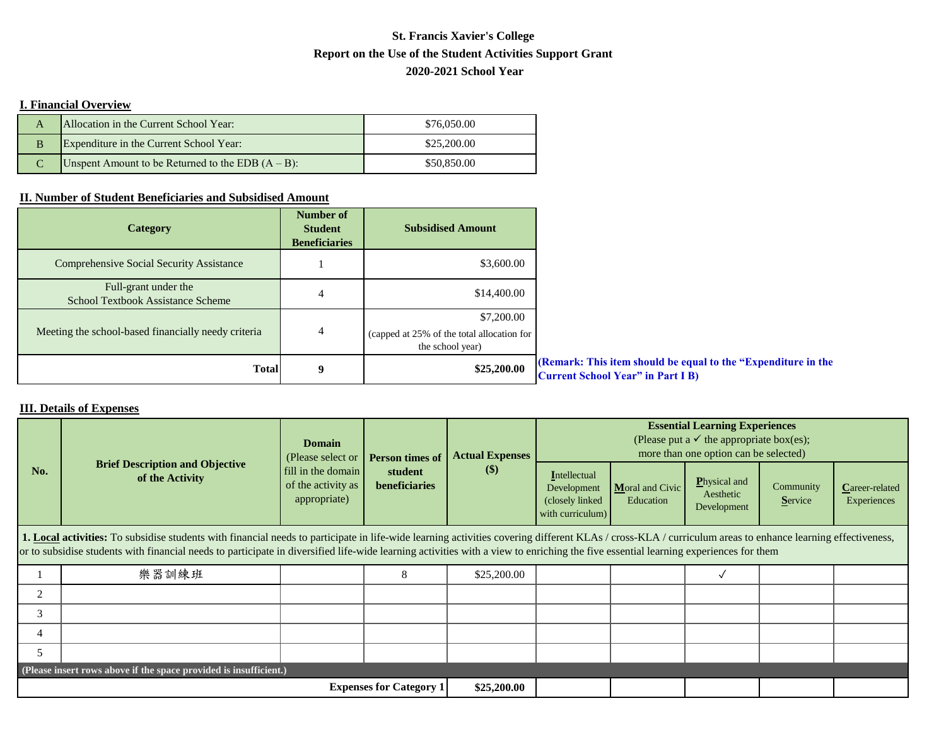## **Report on the Use of the Student Activities Support Grant St. Francis Xavier's College 2020-2021 School Year**

## **I. Financial Overview**

|   | Allocation in the Current School Year:               | \$76,050.00 |
|---|------------------------------------------------------|-------------|
| B | Expenditure in the Current School Year:              | \$25,200.00 |
|   | Unspent Amount to be Returned to the EDB $(A - B)$ : | \$50,850.00 |

## **II. Number of Student Beneficiaries and Subsidised Amount**

| <b>Category</b>                                                  | Number of<br><b>Student</b><br><b>Beneficiaries</b> | <b>Subsidised Amount</b>                                                     |                                                                                                           |
|------------------------------------------------------------------|-----------------------------------------------------|------------------------------------------------------------------------------|-----------------------------------------------------------------------------------------------------------|
| <b>Comprehensive Social Security Assistance</b>                  |                                                     | \$3,600.00                                                                   |                                                                                                           |
| Full-grant under the<br><b>School Textbook Assistance Scheme</b> | 4                                                   | \$14,400.00                                                                  |                                                                                                           |
| Meeting the school-based financially needy criteria              | 4                                                   | \$7,200.00<br>(capped at 25% of the total allocation for<br>the school year) |                                                                                                           |
| <b>Total</b>                                                     | 9                                                   | \$25,200.00                                                                  | (Remark: This item should be equal to the "Expenditure in the<br><b>Current School Year" in Part I B)</b> |

## **III. Details of Expenses**

| No.                                                                                                                                                                                                                                                                                                                                                                                                     | <b>Brief Description and Objective</b><br>of the Activity | <b>Domain</b><br>(Please select or<br>fill in the domain<br>of the activity as<br>appropriate) | Person times of<br>student<br><b>beneficiaries</b> | <b>Actual Expenses</b><br>(S) | <b>Essential Learning Experiences</b><br>(Please put a $\checkmark$ the appropriate box(es);<br>more than one option can be selected) |                                 |                                                 |                             |                               |  |
|---------------------------------------------------------------------------------------------------------------------------------------------------------------------------------------------------------------------------------------------------------------------------------------------------------------------------------------------------------------------------------------------------------|-----------------------------------------------------------|------------------------------------------------------------------------------------------------|----------------------------------------------------|-------------------------------|---------------------------------------------------------------------------------------------------------------------------------------|---------------------------------|-------------------------------------------------|-----------------------------|-------------------------------|--|
|                                                                                                                                                                                                                                                                                                                                                                                                         |                                                           |                                                                                                |                                                    |                               | Intellectual<br>Development<br>(closely linked<br>with curriculum)                                                                    | $M$ oral and Civic<br>Education | <b>Physical and</b><br>Aesthetic<br>Development | Community<br><b>Service</b> | Career-related<br>Experiences |  |
| <b>1. Local activities:</b> To subsidise students with financial needs to participate in life-wide learning activities covering different KLAs / cross-KLA / curriculum areas to enhance learning effectiveness,<br>or to subsidise students with financial needs to participate in diversified life-wide learning activities with a view to enriching the five essential learning experiences for them |                                                           |                                                                                                |                                                    |                               |                                                                                                                                       |                                 |                                                 |                             |                               |  |
|                                                                                                                                                                                                                                                                                                                                                                                                         | 樂器訓練班                                                     |                                                                                                | 8                                                  | \$25,200.00                   |                                                                                                                                       |                                 |                                                 |                             |                               |  |
| 2                                                                                                                                                                                                                                                                                                                                                                                                       |                                                           |                                                                                                |                                                    |                               |                                                                                                                                       |                                 |                                                 |                             |                               |  |
| 3                                                                                                                                                                                                                                                                                                                                                                                                       |                                                           |                                                                                                |                                                    |                               |                                                                                                                                       |                                 |                                                 |                             |                               |  |
| 4                                                                                                                                                                                                                                                                                                                                                                                                       |                                                           |                                                                                                |                                                    |                               |                                                                                                                                       |                                 |                                                 |                             |                               |  |
| 5                                                                                                                                                                                                                                                                                                                                                                                                       |                                                           |                                                                                                |                                                    |                               |                                                                                                                                       |                                 |                                                 |                             |                               |  |
| (Please insert rows above if the space provided is insufficient.)                                                                                                                                                                                                                                                                                                                                       |                                                           |                                                                                                |                                                    |                               |                                                                                                                                       |                                 |                                                 |                             |                               |  |
| <b>Expenses for Category 1</b>                                                                                                                                                                                                                                                                                                                                                                          |                                                           |                                                                                                |                                                    |                               |                                                                                                                                       |                                 |                                                 |                             |                               |  |